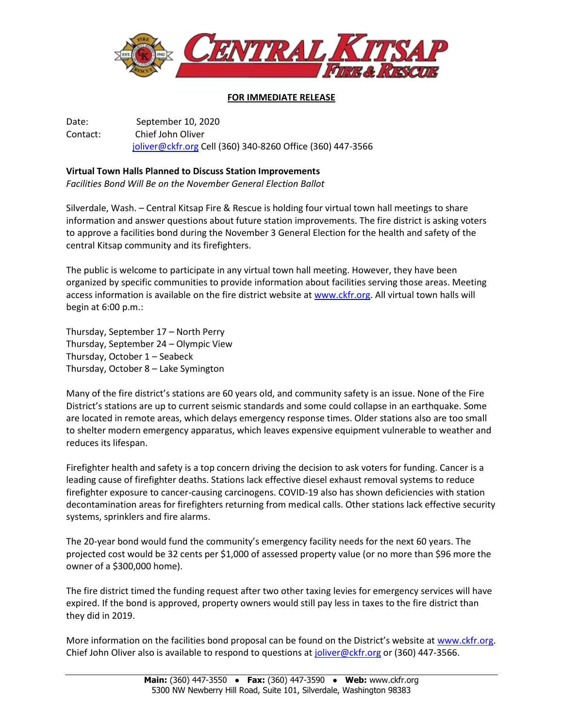

## **FOR IMMEDIATE RELEASE**

Date: September 10, 2020 Contact: Chief John Oliver [joliver@ckfr.org](mailto:joliver@ckfr.org) Cell (360) 340-8260 Office (360) 447-3566

## **Virtual Town Halls Planned to Discuss Station Improvements**

*Facilities Bond Will Be on the November General Election Ballot*

Silverdale, Wash. – Central Kitsap Fire & Rescue is holding four virtual town hall meetings to share information and answer questions about future station improvements. The fire district is asking voters to approve a facilities bond during the November 3 General Election for the health and safety of the central Kitsap community and its firefighters.

The public is welcome to participate in any virtual town hall meeting. However, they have been organized by specific communities to provide information about facilities serving those areas. Meeting access information is available on the fire district website at [www.ckfr.org.](http://www.ckfr.org/) All virtual town halls will begin at 6:00 p.m.:

Thursday, September 17 – North Perry Thursday, September 24 – Olympic View Thursday, October 1 – Seabeck Thursday, October 8 – Lake Symington

Many of the fire district's stations are 60 years old, and community safety is an issue. None of the Fire District's stations are up to current seismic standards and some could collapse in an earthquake. Some are located in remote areas, which delays emergency response times. Older stations also are too small to shelter modern emergency apparatus, which leaves expensive equipment vulnerable to weather and reduces its lifespan.

Firefighter health and safety is a top concern driving the decision to ask voters for funding. Cancer is a leading cause of firefighter deaths. Stations lack effective diesel exhaust removal systems to reduce firefighter exposure to cancer-causing carcinogens. COVID-19 also has shown deficiencies with station decontamination areas for firefighters returning from medical calls. Other stations lack effective security systems, sprinklers and fire alarms.

The 20-year bond would fund the community's emergency facility needs for the next 60 years. The projected cost would be 32 cents per \$1,000 of assessed property value (or no more than \$96 more the owner of a \$300,000 home).

The fire district timed the funding request after two other taxing levies for emergency services will have expired. If the bond is approved, property owners would still pay less in taxes to the fire district than they did in 2019.

More information on the facilities bond proposal can be found on the District's website at [www.ckfr.org.](http://www.ckfr.org/) Chief John Oliver also is available to respond to questions at [joliver@ckfr.org](mailto:joliver@ckfr.org) or (360) 447-3566.